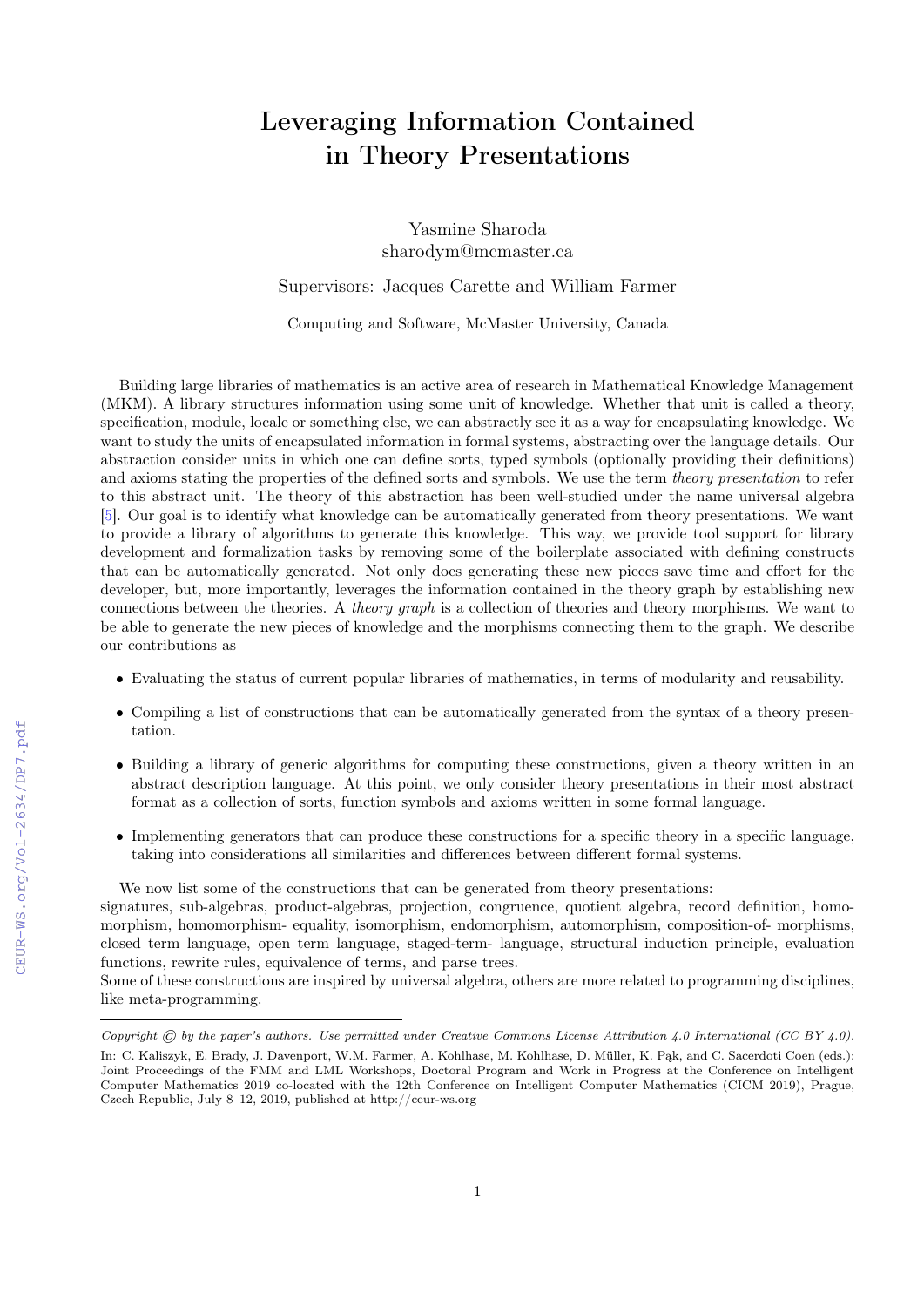## Leveraging Information Contained in Theory Presentations

Yasmine Sharoda sharodym@mcmaster.ca

Supervisors: Jacques Carette and William Farmer

Computing and Software, McMaster University, Canada

Building large libraries of mathematics is an active area of research in Mathematical Knowledge Management (MKM). A library structures information using some unit of knowledge. Whether that unit is called a theory, specification, module, locale or something else, we can abstractly see it as a way for encapsulating knowledge. We want to study the units of encapsulated information in formal systems, abstracting over the language details. Our abstraction consider units in which one can define sorts, typed symbols (optionally providing their definitions) and axioms stating the properties of the defined sorts and symbols. We use the term theory presentation to refer to this abstract unit. The theory of this abstraction has been well-studied under the name universal algebra [\[5\]](#page--1-0). Our goal is to identify what knowledge can be automatically generated from theory presentations. We want to provide a library of algorithms to generate this knowledge. This way, we provide tool support for library development and formalization tasks by removing some of the boilerplate associated with defining constructs that can be automatically generated. Not only does generating these new pieces save time and effort for the developer, but, more importantly, leverages the information contained in the theory graph by establishing new connections between the theories. A theory graph is a collection of theories and theory morphisms. We want to be able to generate the new pieces of knowledge and the morphisms connecting them to the graph. We describe our contributions as

- Evaluating the status of current popular libraries of mathematics, in terms of modularity and reusability.
- Compiling a list of constructions that can be automatically generated from the syntax of a theory presentation.
- Building a library of generic algorithms for computing these constructions, given a theory written in an abstract description language. At this point, we only consider theory presentations in their most abstract format as a collection of sorts, function symbols and axioms written in some formal language.
- Implementing generators that can produce these constructions for a specific theory in a specific language, taking into considerations all similarities and differences between different formal systems.

We now list some of the constructions that can be generated from theory presentations:

signatures, sub-algebras, product-algebras, projection, congruence, quotient algebra, record definition, homomorphism, homomorphism- equality, isomorphism, endomorphism, automorphism, composition-of- morphisms, closed term language, open term language, staged-term- language, structural induction principle, evaluation functions, rewrite rules, equivalence of terms, and parse trees.

Some of these constructions are inspired by universal algebra, others are more related to programming disciplines, like meta-programming.

Copyright  $\odot$  by the paper's authors. Use permitted under Creative Commons License Attribution 4.0 International (CC BY 4.0).

In: C. Kaliszyk, E. Brady, J. Davenport, W.M. Farmer, A. Kohlhase, M. Kohlhase, D. Müller, K. Pąk, and C. Sacerdoti Coen (eds.): Joint Proceedings of the FMM and LML Workshops, Doctoral Program and Work in Progress at the Conference on Intelligent Computer Mathematics 2019 co-located with the 12th Conference on Intelligent Computer Mathematics (CICM 2019), Prague, Czech Republic, July 8–12, 2019, published at http://ceur-ws.org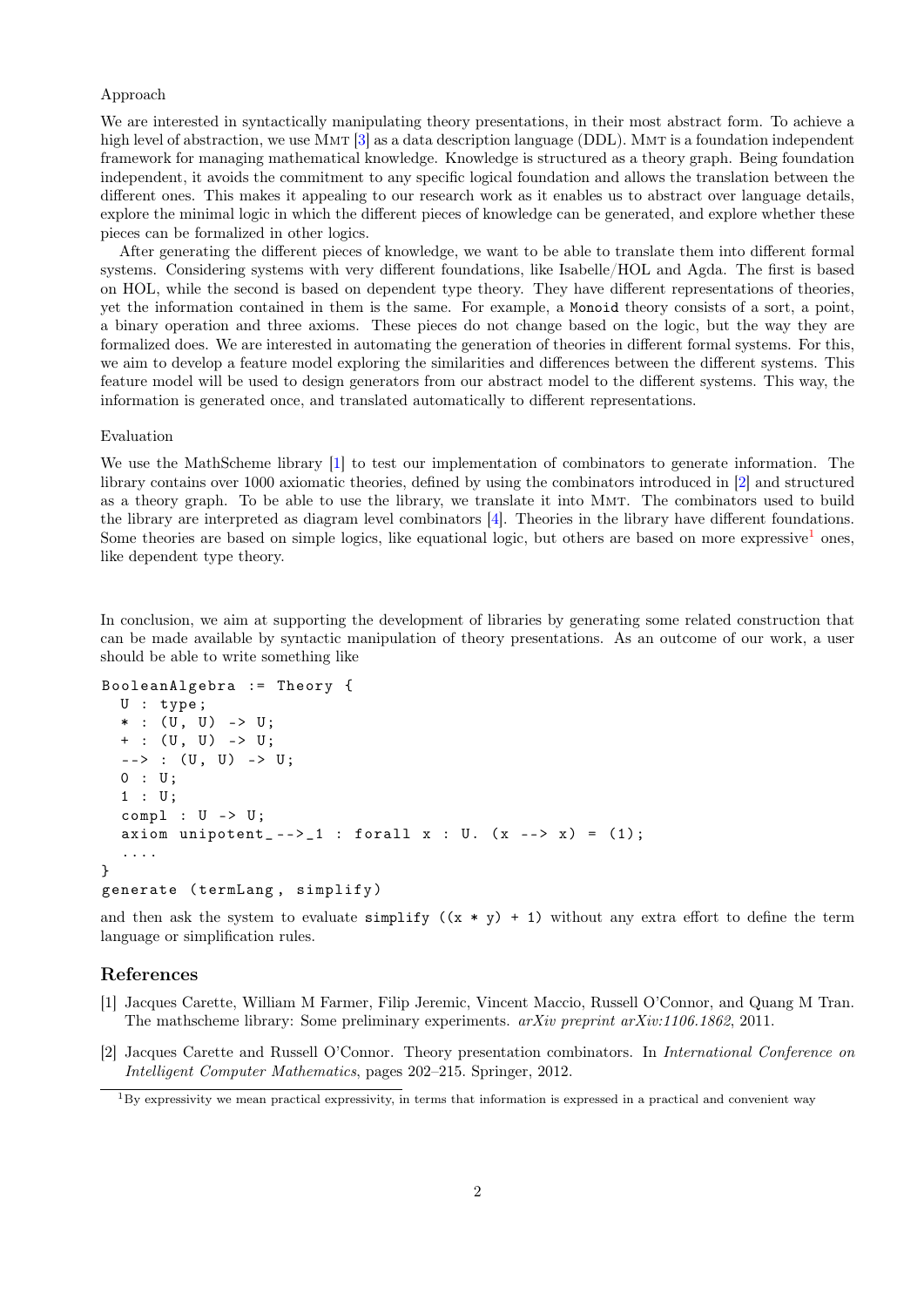## Approach

We are interested in syntactically manipulating theory presentations, in their most abstract form. To achieve a high level of abstraction, we use MMT [\[3\]](#page-2-0) as a data description language (DDL). MMT is a foundation independent framework for managing mathematical knowledge. Knowledge is structured as a theory graph. Being foundation independent, it avoids the commitment to any specific logical foundation and allows the translation between the different ones. This makes it appealing to our research work as it enables us to abstract over language details, explore the minimal logic in which the different pieces of knowledge can be generated, and explore whether these pieces can be formalized in other logics.

After generating the different pieces of knowledge, we want to be able to translate them into different formal systems. Considering systems with very different foundations, like Isabelle/HOL and Agda. The first is based on HOL, while the second is based on dependent type theory. They have different representations of theories, yet the information contained in them is the same. For example, a Monoid theory consists of a sort, a point, a binary operation and three axioms. These pieces do not change based on the logic, but the way they are formalized does. We are interested in automating the generation of theories in different formal systems. For this, we aim to develop a feature model exploring the similarities and differences between the different systems. This feature model will be used to design generators from our abstract model to the different systems. This way, the information is generated once, and translated automatically to different representations.

## Evaluation

We use the MathScheme library [\[1\]](#page-1-0) to test our implementation of combinators to generate information. The library contains over 1000 axiomatic theories, defined by using the combinators introduced in [\[2\]](#page-1-1) and structured as a theory graph. To be able to use the library, we translate it into Mmt. The combinators used to build the library are interpreted as diagram level combinators [\[4\]](#page-2-1). Theories in the library have different foundations. Some theories are based on simple logics, like equational logic, but others are based on more expressive<sup>[1](#page-1-2)</sup> ones, like dependent type theory.

In conclusion, we aim at supporting the development of libraries by generating some related construction that can be made available by syntactic manipulation of theory presentations. As an outcome of our work, a user should be able to write something like

```
BooleanAlgebra := Theory {
 U : type ;
  * : (U, U) -> U;
  + : (U, U) -> U;
  --> : (U, U) -> U;0 : U;1 : U;compl : U \rightarrow U;axiom unipotent_-->_1 : forall x : U. (x --- x) = (1);....
}
generate ( termLang , simplify )
```
and then ask the system to evaluate simplify  $((x * y) + 1)$  without any extra effort to define the term language or simplification rules.

## References

- <span id="page-1-0"></span>[1] Jacques Carette, William M Farmer, Filip Jeremic, Vincent Maccio, Russell O'Connor, and Quang M Tran. The mathscheme library: Some preliminary experiments.  $arXiv$  preprint  $arXiv:1106.1862$ , 2011.
- <span id="page-1-1"></span>[2] Jacques Carette and Russell O'Connor. Theory presentation combinators. In International Conference on Intelligent Computer Mathematics, pages 202–215. Springer, 2012.

<span id="page-1-2"></span> $1_{\rm BV}$  expressivity we mean practical expressivity, in terms that information is expressed in a practical and convenient way